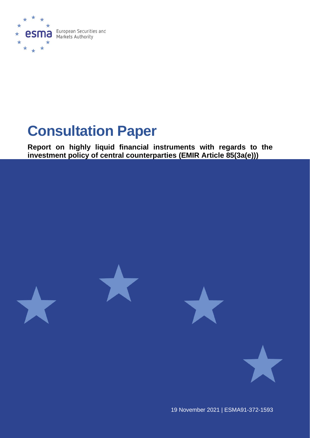

# **Consultation Paper**

**Report on highly liquid financial instruments with regards to the investment policy of central counterparties (EMIR Article 85(3a(e)))** 



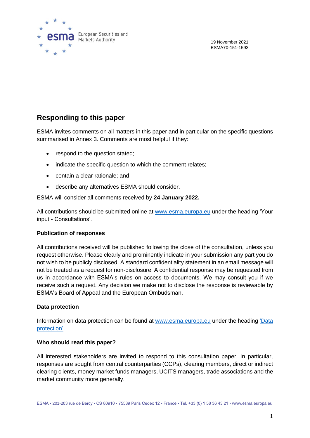

19 November 2021 ESMA70-151-1593

### **Responding to this paper**

ESMA invites comments on all matters in this paper and in particular on the specific questions summarised in Annex 3. Comments are most helpful if they:

- respond to the question stated;
- indicate the specific question to which the comment relates:
- contain a clear rationale; and
- describe any alternatives ESMA should consider.

ESMA will consider all comments received by **24 January 2022.**

All contributions should be submitted online at [www.esma.europa.eu](http://www.esma.europa.eu/) under the heading 'Your input - Consultations'.

#### **Publication of responses**

All contributions received will be published following the close of the consultation, unless you request otherwise. Please clearly and prominently indicate in your submission any part you do not wish to be publicly disclosed. A standard confidentiality statement in an email message will not be treated as a request for non-disclosure. A confidential response may be requested from us in accordance with ESMA's rules on access to documents. We may consult you if we receive such a request. Any decision we make not to disclose the response is reviewable by ESMA's Board of Appeal and the European Ombudsman.

#### **Data protection**

Information on data protection can be found at [www.esma.europa.eu](http://www.esma.europa.eu/) under the heading 'Data [protection'](https://www.esma.europa.eu/about-esma/data-protection).

#### **Who should read this paper?**

All interested stakeholders are invited to respond to this consultation paper. In particular, responses are sought from central counterparties (CCPs), clearing members, direct or indirect clearing clients, money market funds managers, UCITS managers, trade associations and the market community more generally.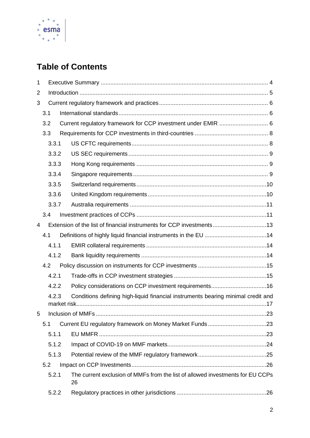

# **Table of Contents**

| 1 |                                                                      |       |  |                                                                                      |  |  |
|---|----------------------------------------------------------------------|-------|--|--------------------------------------------------------------------------------------|--|--|
| 2 |                                                                      |       |  |                                                                                      |  |  |
| 3 |                                                                      |       |  |                                                                                      |  |  |
|   | 3.1                                                                  |       |  |                                                                                      |  |  |
|   | 3.2                                                                  |       |  | Current regulatory framework for CCP investment under EMIR  6                        |  |  |
|   | 3.3                                                                  |       |  |                                                                                      |  |  |
|   |                                                                      | 3.3.1 |  |                                                                                      |  |  |
|   |                                                                      | 3.3.2 |  |                                                                                      |  |  |
|   |                                                                      | 3.3.3 |  |                                                                                      |  |  |
|   |                                                                      | 3.3.4 |  |                                                                                      |  |  |
|   |                                                                      | 3.3.5 |  |                                                                                      |  |  |
|   |                                                                      | 3.3.6 |  |                                                                                      |  |  |
|   |                                                                      | 3.3.7 |  |                                                                                      |  |  |
|   | 3.4                                                                  |       |  |                                                                                      |  |  |
| 4 | Extension of the list of financial instruments for CCP investments13 |       |  |                                                                                      |  |  |
|   | 4.1                                                                  |       |  |                                                                                      |  |  |
|   | 4.1.1                                                                |       |  |                                                                                      |  |  |
|   | 4.1.2                                                                |       |  |                                                                                      |  |  |
|   |                                                                      | 4.2   |  |                                                                                      |  |  |
|   |                                                                      | 4.2.1 |  |                                                                                      |  |  |
|   |                                                                      | 4.2.2 |  | Policy considerations on CCP investment requirements16                               |  |  |
|   | 4.2.3                                                                |       |  | Conditions defining high-liquid financial instruments bearing minimal credit and     |  |  |
| 5 |                                                                      |       |  |                                                                                      |  |  |
|   | 5.1                                                                  |       |  |                                                                                      |  |  |
|   |                                                                      | 5.1.1 |  |                                                                                      |  |  |
|   |                                                                      | 5.1.2 |  |                                                                                      |  |  |
|   |                                                                      | 5.1.3 |  |                                                                                      |  |  |
|   | 5.2                                                                  |       |  |                                                                                      |  |  |
|   |                                                                      | 5.2.1 |  | The current exclusion of MMFs from the list of allowed investments for EU CCPs<br>26 |  |  |
|   | 5.2.2                                                                |       |  |                                                                                      |  |  |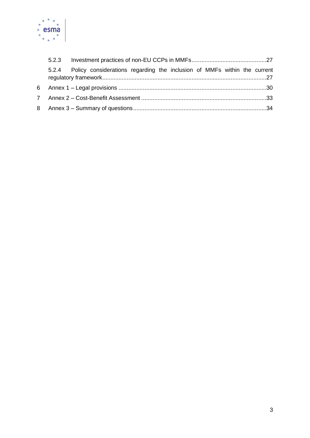

|   | 5.2.3                                                                          |  |
|---|--------------------------------------------------------------------------------|--|
|   | 5.2.4 Policy considerations regarding the inclusion of MMFs within the current |  |
| 6 |                                                                                |  |
| 7 |                                                                                |  |
|   |                                                                                |  |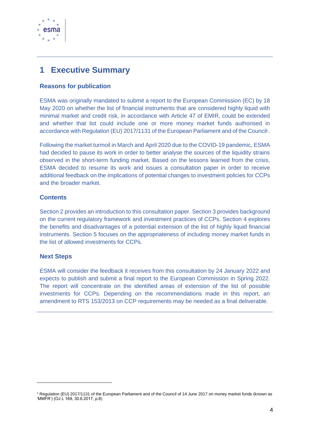

# <span id="page-4-0"></span>**1 Executive Summary**

#### **Reasons for publication**

ESMA was originally mandated to submit a report to the European Commission (EC) by 18 May 2020 on whether the list of financial instruments that are considered highly liquid with minimal market and credit risk, in accordance with Article 47 of EMIR, could be extended and whether that list could include one or more money market funds authorised in accordance with Regulation (EU) 2017/1131 of the European Parliament and of the Council<sup>1</sup>.

Following the market turmoil in March and April 2020 due to the COVID-19 pandemic, ESMA had decided to pause its work in order to better analyse the sources of the liquidity strains observed in the short-term funding market. Based on the lessons learned from the crisis, ESMA decided to resume its work and issues a consultation paper in order to receive additional feedback on the implications of potential changes to investment policies for CCPs and the broader market.

#### **Contents**

Section 2 provides an introduction to this consultation paper. Section 3 provides background on the current regulatory framework and investment practices of CCPs. Section 4 explores the benefits and disadvantages of a potential extension of the list of highly liquid financial instruments. Section 5 focuses on the appropriateness of including money market funds in the list of allowed investments for CCPs.

#### **Next Steps**

ESMA will consider the feedback it receives from this consultation by 24 January 2022 and expects to publish and submit a final report to the European Commission in Spring 2022. The report will concentrate on the identified areas of extension of the list of possible investments for CCPs. Depending on the recommendations made in this report, an amendment to RTS 153/2013 on CCP requirements may be needed as a final deliverable.

<sup>1</sup> Regulation (EU) 2017/1131 of the European Parliament and of the Council of 14 June 2017 on money market funds (known as 'MMFR') (OJ L 169, 30.6.2017, p.8)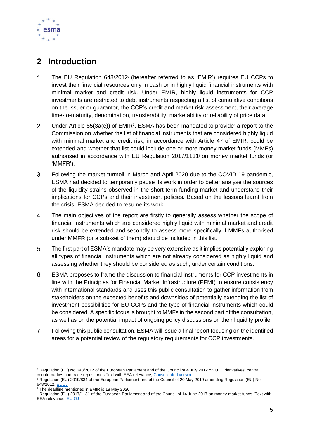

# <span id="page-5-0"></span>**2 Introduction**

- $1.$ The EU Regulation 648/2012<sup>2</sup> (hereafter referred to as 'EMIR') requires EU CCPs to invest their financial resources only in cash or in highly liquid financial instruments with minimal market and credit risk. Under EMIR, highly liquid instruments for CCP investments are restricted to debt instruments respecting a list of cumulative conditions on the issuer or guarantor, the CCP's credit and market risk assessment, their average time-to-maturity, denomination, transferability, marketability or reliability of price data.
- $2.$ Under Article  $85(3a(e))$  of EMIR<sup>3</sup>, ESMA has been mandated to provide<sup>4</sup> a report to the Commission on whether the list of financial instruments that are considered highly liquid with minimal market and credit risk, in accordance with Article 47 of EMIR, could be extended and whether that list could include one or more money market funds (MMFs) authorised in accordance with EU Regulation 2017/1131<sup>5</sup> on money market funds (or 'MMFR').
- $3<sub>l</sub>$ Following the market turmoil in March and April 2020 due to the COVID-19 pandemic, ESMA had decided to temporarily pause its work in order to better analyse the sources of the liquidity strains observed in the short-term funding market and understand their implications for CCPs and their investment policies. Based on the lessons learnt from the crisis, ESMA decided to resume its work.
- $4.$ The main objectives of the report are firstly to generally assess whether the scope of financial instruments which are considered highly liquid with minimal market and credit risk should be extended and secondly to assess more specifically if MMFs authorised under MMFR (or a sub-set of them) should be included in this list.
- The first part of ESMA's mandate may be very extensive as it implies potentially exploring 5. all types of financial instruments which are not already considered as highly liquid and assessing whether they should be considered as such, under certain conditions.
- ESMA proposes to frame the discussion to financial instruments for CCP investments in  $6.$ line with the Principles for Financial Market Infrastructure (PFMI) to ensure consistency with international standards and uses this public consultation to gather information from stakeholders on the expected benefits and downsides of potentially extending the list of investment possibilities for EU CCPs and the type of financial instruments which could be considered. A specific focus is brought to MMFs in the second part of the consultation, as well as on the potential impact of ongoing policy discussions on their liquidity profile.
- $7<sub>1</sub>$ Following this public consultation, ESMA will issue a final report focusing on the identified areas for a potential review of the regulatory requirements for CCP investments.

<sup>&</sup>lt;sup>2</sup> Regulation (EU) No 648/2012 of the European Parliament and of the Council of 4 July 2012 on OTC derivatives, central counterparties and trade repositories Text with EEA relevance, [Consolidated version](https://eur-lex.europa.eu/legal-content/EN/TXT/?uri=celex%3A32012R0648)

<sup>&</sup>lt;sup>3</sup> Regulation (EU) 2019/834 of the European Parliament and of the Council of 20 May 2019 amending Regulation (EU) No 648/2012[, EUOJ](https://eur-lex.europa.eu/legal-content/EN/TXT/?uri=uriserv:OJ.L_.2019.141.01.0042.01.ENG)

<sup>4</sup> The deadline mentioned in EMIR is 18 May 2020.

<sup>5</sup> Regulation (EU) 2017/1131 of the European Parliament and of the Council of 14 June 2017 on money market funds (Text with EEA relevance[, EU OJ](https://eur-lex.europa.eu/legal-content/en/ALL/?uri=CELEX%3A32017R1131)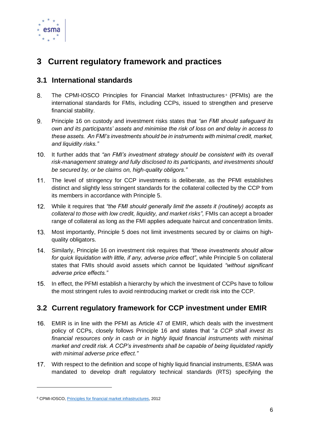

# <span id="page-6-0"></span>**3 Current regulatory framework and practices**

### <span id="page-6-1"></span>**3.1 International standards**

- $8<sub>1</sub>$ The CPMI-IOSCO Principles for Financial Market Infrastructures<sup>6</sup> (PFMIs) are the international standards for FMIs, including CCPs, issued to strengthen and preserve financial stability.
- $9<sub>1</sub>$ Principle 16 on custody and investment risks states that *"an FMI should safeguard its own and its participants' assets and minimise the risk of loss on and delay in access to these assets. An FMI's investments should be in instruments with minimal credit, market, and liquidity risks."*
- It further adds that *"an FMI's investment strategy should be consistent with its overall risk-management strategy and fully disclosed to its participants, and investments should be secured by, or be claims on, high-quality obligors."*
- The level of stringency for CCP investments is deliberate, as the PFMI establishes  $11.$ distinct and slightly less stringent standards for the collateral collected by the CCP from its members in accordance with Principle 5.
- While it requires that *"the FMI should generally limit the assets it (routinely) accepts as*  collateral to those with low credit, liquidity, and market risks", FMIs can accept a broader range of collateral as long as the FMI applies adequate haircut and concentration limits.
- $13.$ Most importantly, Principle 5 does not limit investments secured by or claims on highquality obligators.
- Similarly, Principle 16 on investment risk requires that *"these investments should allow for quick liquidation with little, if any, adverse price effect"*, while Principle 5 on collateral states that FMIs should avoid assets which cannot be liquidated *"without significant adverse price effects."*
- 15. In effect, the PFMI establish a hierarchy by which the investment of CCPs have to follow the most stringent rules to avoid reintroducing market or credit risk into the CCP.

### <span id="page-6-2"></span>**3.2 Current regulatory framework for CCP investment under EMIR**

- EMIR is in line with the PFMI as Article 47 of EMIR, which deals with the investment policy of CCPs, closely follows Principle 16 and states that "*a CCP shall invest its financial resources only in cash or in highly liquid financial instruments with minimal market and credit risk. A CCP's investments shall be capable of being liquidated rapidly with minimal adverse price effect."*
- 17. With respect to the definition and scope of highly liquid financial instruments, ESMA was mandated to develop draft regulatory technical standards (RTS) specifying the

<sup>6</sup> CPMI-IOSCO[, Principles for financial market infrastructures,](https://www.bis.org/cpmi/publ/d101a.pdf) 2012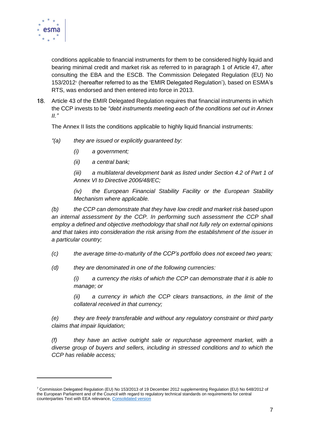

conditions applicable to financial instruments for them to be considered highly liquid and bearing minimal credit and market risk as referred to in paragraph 1 of Article 47, after consulting the EBA and the ESCB. The Commission Delegated Regulation (EU) No 153/2012<sup>7</sup> (hereafter referred to as the 'EMIR Delegated Regulation'), based on ESMA's RTS, was endorsed and then entered into force in 2013.

Article 43 of the EMIR Delegated Regulation requires that financial instruments in which the CCP invests to be *"debt instruments meeting each of the conditions set out in Annex II."*

The Annex II lists the conditions applicable to highly liquid financial instruments:

- *"(a) they are issued or explicitly guaranteed by:*
	- *(i) a government;*
	- *(ii) a central bank;*

*(iii) a multilateral development bank as listed under Section 4.2 of Part 1 of Annex VI to Directive 2006/48/EC;*

*(iv) the European Financial Stability Facility or the European Stability Mechanism where applicable.*

*(b) the CCP can demonstrate that they have low credit and market risk based upon*  an internal assessment by the CCP. In performing such assessment the CCP shall *employ a defined and objective methodology that shall not fully rely on external opinions and that takes into consideration the risk arising from the establishment of the issuer in a particular country;*

*(c) the average time-to-maturity of the CCP's portfolio does not exceed two years;*

*(d) they are denominated in one of the following currencies:*

*(i) a currency the risks of which the CCP can demonstrate that it is able to manage; or*

*(ii) a currency in which the CCP clears transactions, in the limit of the collateral received in that currency;*

*(e) they are freely transferable and without any regulatory constraint or third party claims that impair liquidation;*

*(f) they have an active outright sale or repurchase agreement market, with a diverse group of buyers and sellers, including in stressed conditions and to which the CCP has reliable access;*

<sup>7</sup> Commission Delegated Regulation (EU) No 153/2013 of 19 December 2012 supplementing Regulation (EU) No 648/2012 of the European Parliament and of the Council with regard to regulatory technical standards on requirements for central counterparties Text with EEA relevance[, Consolidated version](https://eur-lex.europa.eu/legal-content/EN/TXT/?uri=CELEX%3A02013R0153-20160615)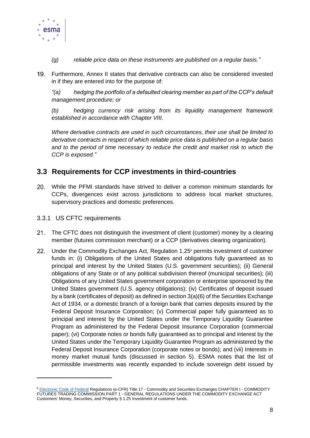

- *(g) reliable price data on these instruments are published on a regular basis."*
- Furthermore, Annex II states that derivative contracts can also be considered invested in if they are entered into for the purpose of:

*"(a) hedging the portfolio of a defaulted clearing member as part of the CCP's default management procedure; or*

*(b) hedging currency risk arising from its liquidity management framework established in accordance with Chapter VIII.*

*Where derivative contracts are used in such circumstances, their use shall be limited to derivative contracts in respect of which reliable price data is published on a regular basis and to the period of time necessary to reduce the credit and market risk to which the CCP is exposed."*

### <span id="page-8-0"></span>**3.3 Requirements for CCP investments in third-countries**

While the PFMI standards have strived to deliver a common minimum standards for CCPs, divergences exist across jurisdictions to address local market structures, supervisory practices and domestic preferences.

#### <span id="page-8-1"></span>3.3.1 US CFTC requirements

- $21.$ The CFTC does not distinguish the investment of client (customer) money by a clearing member (futures commission merchant) or a CCP (derivatives clearing organization).
- $22.$ Under the Commodity Exchanges Act, Regulation 1.25<sup>8</sup> permits investment of customer funds in: (i) Obligations of the United States and obligations fully guaranteed as to principal and interest by the United States (U.S. government securities); (ii) General obligations of any State or of any political subdivision thereof (municipal securities); (iii) Obligations of any United States government corporation or enterprise sponsored by the United States government (U.S. agency obligations); (iv) Certificates of deposit issued by a bank (certificates of deposit) as defined in section 3(a)(6) of the Securities Exchange Act of 1934, or a domestic branch of a foreign bank that carries deposits insured by the Federal Deposit Insurance Corporation; (v) Commercial paper fully guaranteed as to principal and interest by the United States under the Temporary Liquidity Guarantee Program as administered by the Federal Deposit Insurance Corporation (commercial paper); (vi) Corporate notes or bonds fully guaranteed as to principal and interest by the United States under the Temporary Liquidity Guarantee Program as administered by the Federal Deposit Insurance Corporation (corporate notes or bonds); and (vii) Interests in money market mutual funds (discussed in section 5). ESMA notes that the list of permissible investments was recently expanded to include sovereign debt issued by

<sup>&</sup>lt;sup>8</sup> [Electronic Code of Federal](https://www.law.cornell.edu/cfr/text/17/1.25) Regulations (e-CFR) Title 17 - Commodity and Securities Exchanges CHAPTER I - COMMODITY FUTURES TRADING COMMISSION PART 1 - GENERAL REGULATIONS UNDER THE COMMODITY EXCHANGE ACT Customers' Money, Securities, and Property § 1.25 Investment of customer funds.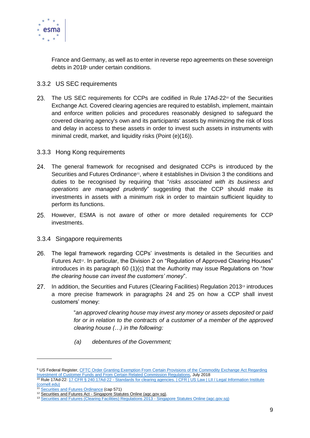

France and Germany, as well as to enter in reverse repo agreements on these sovereign debts in 2018<sup>9</sup> under certain conditions.

#### <span id="page-9-0"></span>3.3.2 US SEC requirements

23. The US SEC requirements for CCPs are codified in Rule  $17Ad-22$ <sup>10</sup> of the Securities Exchange Act. Covered clearing agencies are required to establish, implement, maintain and enforce written policies and procedures reasonably designed to safeguard the covered clearing agency's own and its participants' assets by minimizing the risk of loss and delay in access to these assets in order to invest such assets in instruments with minimal credit, market, and liquidity risks (Point (e)(16)).

#### <span id="page-9-1"></span>3.3.3 Hong Kong requirements

- 24. The general framework for recognised and designated CCPs is introduced by the Securities and Futures Ordinance<sup>11</sup>, where it establishes in Division 3 the conditions and duties to be recognised by requiring that "*risks associated with its business and operations are managed prudently*" suggesting that the CCP should make its investments in assets with a minimum risk in order to maintain sufficient liquidity to perform its functions.
- 25. However, ESMA is not aware of other or more detailed requirements for CCP investments.

#### <span id="page-9-2"></span>3.3.4 Singapore requirements

- The legal framework regarding CCPs' investments is detailed in the Securities and 26. Futures Act<sup>12</sup>. In particular, the Division 2 on "Regulation of Approved Clearing Houses" introduces in its paragraph 60 (1)(c) that the Authority may issue Regulations on "*how the clearing house can invest the customers' money*".
- In addition, the Securities and Futures (Clearing Facilities) Regulation 2013<sup>13</sup> introduces  $27.$ a more precise framework in paragraphs 24 and 25 on how a CCP shall invest customers' money:

"*an approved clearing house may invest any money or assets deposited or paid for or in relation to the contracts of a customer of a member of the approved clearing house (…) in the following:* 

*(a) debentures of the Government;*

<sup>&</sup>lt;sup>9</sup> US Federal Register, CFTC Order Granting Exemption From Certain Provisions of the Commodity Exchange Act Regarding [Investment of Customer Funds and From Certain Related Commission Regulations,](https://www.cftc.gov/sites/default/files/2018-07/2018-15860a.pdf) July 2018 <sup>10</sup> Rule 17Ad-22: 17 CFR § 240.17Ad-22 - Standards for clearing agencies. | CFR | US Law | LII / Legal Information Institute

[<sup>\(</sup>cornell.edu\)](https://www.law.cornell.edu/cfr/text/17/240.17Ad-22)

[Securities and Futures Ordinance](https://www.elegislation.gov.hk/hk/cap571?SEARCH_WITHIN_CAP_TXT=CCP) (cap 571)

<sup>&</sup>lt;sup>12</sup> Securities and Futures Act - [Singapore Statutes Online \(agc.gov.sg\).](https://sso.agc.gov.sg/Act/SFA2001#P1III-P22-)

<sup>13</sup> [Securities and Futures \(Clearing Facilities\) Regulations 2013 -](https://sso.agc.gov.sg/SL/SFA2001-S464-2013?DocDate=20190614#P1III-P21-) Singapore Statutes Online (agc.gov.sg)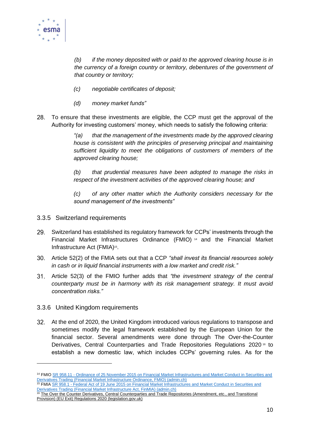

*(b) if the money deposited with or paid to the approved clearing house is in the currency of a foreign country or territory, debentures of the government of that country or territory;*

- *(c) negotiable certificates of deposit;*
- *(d) money market funds"*
- $28.$ To ensure that these investments are eligible, the CCP must get the approval of the Authority for investing customers' money, which needs to satisfy the following criteria:

*"(a) that the management of the investments made by the approved clearing house is consistent with the principles of preserving principal and maintaining sufficient liquidity to meet the obligations of customers of members of the approved clearing house;*

*(b) that prudential measures have been adopted to manage the risks in respect of the investment activities of the approved clearing house; and*

*(c) of any other matter which the Authority considers necessary for the sound management of the investments"*

- <span id="page-10-0"></span>3.3.5 Switzerland requirements
- Switzerland has established its regulatory framework for CCPs' investments through the  $29.$ Financial Market Infrastructures Ordinance (FMIO) <sup>14</sup> and the Financial Market Infrastructure Act (FMIA)<sup>15</sup>.
- Article 52(2) of the FMIA sets out that a CCP *"shall invest its financial resources solely in cash or in liquid financial instruments with a low market and credit risk."*
- Article 52(3) of the FMIO further adds that *"the investment strategy of the central counterparty must be in harmony with its risk management strategy. It must avoid concentration risks."*

#### <span id="page-10-1"></span>3.3.6 United Kingdom requirements

At the end of 2020, the United Kingdom introduced various regulations to transpose and sometimes modify the legal framework established by the European Union for the financial sector. Several amendments were done through The Over-the-Counter Derivatives, Central Counterparties and Trade Repositories Regulations 2020<sup>16</sup> to establish a new domestic law, which includes CCPs' governing rules. As for the

<sup>&</sup>lt;sup>14</sup> FMIO SR 958.11 - Ordinance of 25 November 2015 on Financial Market Infrastructures and Market Conduct in Securities and [Derivatives Trading \(Financial Market Infrastructure Ordinance, FMIO\) \(admin.ch\)](https://www.fedlex.admin.ch/eli/cc/2015/854/en) <sup>15</sup> FMIA SR 958.1 - Federal Act of 19 June 2015 on Financial Market Infrastructures and Market Conduct in Securities and

[Derivatives Trading \(Financial Market Infrastructure Act, FinMIA\) \(admin.ch\)](https://www.fedlex.admin.ch/eli/cc/2015/853/en)

<sup>&</sup>lt;sup>16</sup> The Over the Counter Derivatives, Central Counterparties and Trade Repositories (Amendment, etc., and Transitional [Provision\) \(EU Exit\) Regulations 2020 \(legislation.gov.uk\)](https://www.legislation.gov.uk/uksi/2020/646/contents)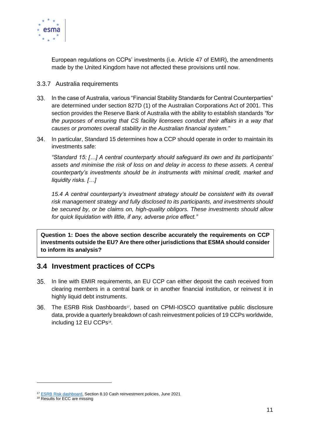

European regulations on CCPs' investments (i.e. Article 47 of EMIR), the amendments made by the United Kingdom have not affected these provisions until now.

- <span id="page-11-0"></span>3.3.7 Australia requirements
- 33. In the case of Australia, various "Financial Stability Standards for Central Counterparties" are determined under section 827D (1) of the Australian Corporations Act of 2001. This section provides the Reserve Bank of Australia with the ability to establish standards *"for the purposes of ensuring that CS facility licensees conduct their affairs in a way that causes or promotes overall stability in the Australian financial system."*
- 34. In particular, Standard 15 determines how a CCP should operate in order to maintain its investments safe:

*"Standard 15: […] A central counterparty should safeguard its own and its participants' assets and minimise the risk of loss on and delay in access to these assets. A central counterparty's investments should be in instruments with minimal credit, market and liquidity risks. […]*

*15.4 A central counterparty's investment strategy should be consistent with its overall risk management strategy and fully disclosed to its participants, and investments should be secured by, or be claims on, high-quality obligors. These investments should allow for quick liquidation with little, if any, adverse price effect."*

**Question 1: Does the above section describe accurately the requirements on CCP investments outside the EU? Are there other jurisdictions that ESMA should consider to inform its analysis?**

### <span id="page-11-1"></span>**3.4 Investment practices of CCPs**

- 35. In line with EMIR requirements, an EU CCP can either deposit the cash received from clearing members in a central bank or in another financial institution, or reinvest it in highly liquid debt instruments.
- 36. The ESRB Risk Dashboards<sup>17</sup>, based on CPMI-IOSCO quantitative public disclosure data, provide a quarterly breakdown of cash reinvestment policies of 19 CCPs worldwide, including 12 EU CCPs<sup>18</sup>.

<sup>&</sup>lt;sup>17</sup> [ESRB Risk dashboard,](https://www.esrb.europa.eu/pub/pdf/dashboard/esrb.risk_dashboard210701~3a0edf395c.en.pdf?672958ae8fcdbb6e03b17d055adc962d) Section 8.10 Cash reinvestment policies, June 2021

<sup>&</sup>lt;sup>18</sup> Results for ECC are missing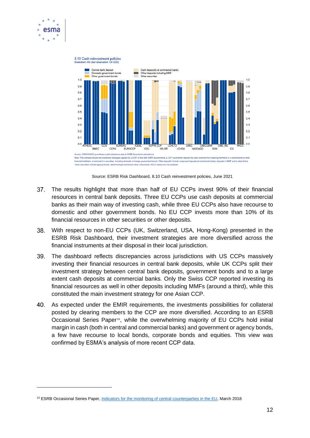



Source: ESRB Risk Dashboard, 8.10 Cash reinvestment policies, June 2021

- 37. The results highlight that more than half of EU CCPs invest 90% of their financial resources in central bank deposits. Three EU CCPs use cash deposits at commercial banks as their main way of investing cash, while three EU CCPs also have recourse to domestic and other government bonds. No EU CCP invests more than 10% of its financial resources in other securities or other deposits.
- 38. With respect to non-EU CCPs (UK, Switzerland, USA, Hong-Kong) presented in the ESRB Risk Dashboard, their investment strategies are more diversified across the financial instruments at their disposal in their local jurisdiction.
- 39. The dashboard reflects discrepancies across jurisdictions with US CCPs massively investing their financial resources in central bank deposits, while UK CCPs split their investment strategy between central bank deposits, government bonds and to a large extent cash deposits at commercial banks. Only the Swiss CCP reported investing its financial resources as well in other deposits including MMFs (around a third), while this constituted the main investment strategy for one Asian CCP.
- 40. As expected under the EMIR requirements, the investments possibilities for collateral posted by clearing members to the CCP are more diversified. According to an ESRB Occasional Series Paper19, while the overwhelming majority of EU CCPs hold initial margin in cash (both in central and commercial banks) and government or agency bonds, a few have recourse to local bonds, corporate bonds and equities. This view was confirmed by ESMA's analysis of more recent CCP data.

<sup>&</sup>lt;sup>19</sup> ESRB Occasional Series Paper, [Indicators for the monitoring of central counterparties in the EU,](https://www.esrb.europa.eu/pub/pdf/occasional/esrb.op14.en.pdf) March 2018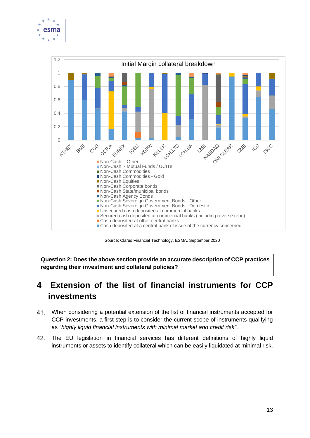



Source: Clarus Financial Technology, ESMA, September 2020

**Question 2: Does the above section provide an accurate description of CCP practices regarding their investment and collateral policies?**

# <span id="page-13-0"></span>**4 Extension of the list of financial instruments for CCP investments**

- When considering a potential extension of the list of financial instruments accepted for CCP investments, a first step is to consider the current scope of instruments qualifying as *"highly liquid financial instruments with minimal market and credit risk"*.
- 42. The EU legislation in financial services has different definitions of highly liquid instruments or assets to identify collateral which can be easily liquidated at minimal risk.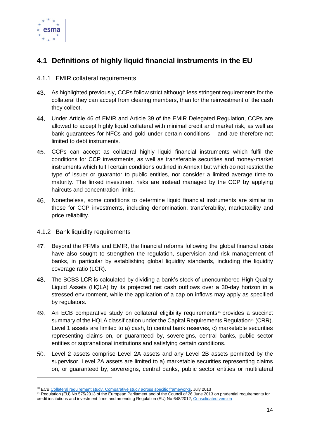

### <span id="page-14-0"></span>**4.1 Definitions of highly liquid financial instruments in the EU**

#### <span id="page-14-1"></span>4.1.1 EMIR collateral requirements

- As highlighted previously, CCPs follow strict although less stringent requirements for the collateral they can accept from clearing members, than for the reinvestment of the cash they collect.
- Under Article 46 of EMIR and Article 39 of the EMIR Delegated Regulation, CCPs are allowed to accept highly liquid collateral with minimal credit and market risk, as well as bank guarantees for NFCs and gold under certain conditions – and are therefore not limited to debt instruments.
- 45. CCPs can accept as collateral highly liquid financial instruments which fulfil the conditions for CCP investments, as well as transferable securities and money-market instruments which fulfil certain conditions outlined in Annex I but which do not restrict the type of issuer or guarantor to public entities, nor consider a limited average time to maturity. The linked investment risks are instead managed by the CCP by applying haircuts and concentration limits.
- Nonetheless, some conditions to determine liquid financial instruments are similar to those for CCP investments, including denomination, transferability, marketability and price reliability.
- <span id="page-14-2"></span>4.1.2 Bank liquidity requirements
- Beyond the PFMIs and EMIR, the financial reforms following the global financial crisis have also sought to strengthen the regulation, supervision and risk management of banks, in particular by establishing global liquidity standards, including the liquidity coverage ratio (LCR).
- 48. The BCBS LCR is calculated by dividing a bank's stock of unencumbered High Quality Liquid Assets (HQLA) by its projected net cash outflows over a 30-day horizon in a stressed environment, while the application of a cap on inflows may apply as specified by regulators.
- 49. An ECB comparative study on collateral eligibility requirements<sup>20</sup> provides a succinct summary of the HQLA classification under the Capital Requirements Regulation<sup>21</sup> (CRR). Level 1 assets are limited to a) cash, b) central bank reserves, c) marketable securities representing claims on, or guaranteed by, sovereigns, central banks, public sector entities or supranational institutions and satisfying certain conditions.
- Level 2 assets comprise Level 2A assets and any Level 2B assets permitted by the supervisor. Level 2A assets are limited to a) marketable securities representing claims on, or guaranteed by, sovereigns, central banks, public sector entities or multilateral

<sup>&</sup>lt;sup>20</sup> EC[B Collateral requirement study, Comparative study across specific frameworks,](https://www.ecb.europa.eu/pub/pdf/other/collateralframeworksen.pdf) July 2013

<sup>&</sup>lt;sup>21</sup> Regulation (EU) No 575/2013 of the European Parliament and of the Council of 26 June 2013 on prudential requirements for credit institutions and investment firms and amending Regulation (EU) No 648/2012, [Consolidated version](https://eur-lex.europa.eu/legal-content/EN/TXT/?uri=celex%3A32013R0575)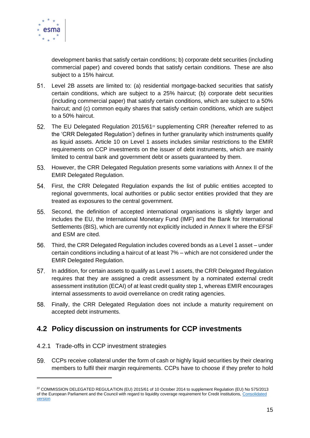

development banks that satisfy certain conditions; b) corporate debt securities (including commercial paper) and covered bonds that satisfy certain conditions. These are also subject to a 15% haircut.

- Level 2B assets are limited to: (a) residential mortgage-backed securities that satisfy certain conditions, which are subject to a 25% haircut; (b) corporate debt securities (including commercial paper) that satisfy certain conditions, which are subject to a 50% haircut; and (c) common equity shares that satisfy certain conditions, which are subject to a 50% haircut.
- $52.$ The EU Delegated Regulation 2015/61<sup>22</sup> supplementing CRR (hereafter referred to as the 'CRR Delegated Regulation') defines in further granularity which instruments qualify as liquid assets. Article 10 on Level 1 assets includes similar restrictions to the EMIR requirements on CCP investments on the issuer of debt instruments, which are mainly limited to central bank and government debt or assets guaranteed by them.
- 53. However, the CRR Delegated Regulation presents some variations with Annex II of the EMIR Delegated Regulation.
- 54. First, the CRR Delegated Regulation expands the list of public entities accepted to regional governments, local authorities or public sector entities provided that they are treated as exposures to the central government.
- Second, the definition of accepted international organisations is slightly larger and includes the EU, the International Monetary Fund (IMF) and the Bank for International Settlements (BIS), which are currently not explicitly included in Annex II where the EFSF and ESM are cited.
- 56. Third, the CRR Delegated Regulation includes covered bonds as a Level 1 asset – under certain conditions including a haircut of at least 7% – which are not considered under the EMIR Delegated Regulation.
- 57. In addition, for certain assets to qualify as Level 1 assets, the CRR Delegated Regulation requires that they are assigned a credit assessment by a nominated external credit assessment institution (ECAI) of at least credit quality step 1, whereas EMIR encourages internal assessments to avoid overreliance on credit rating agencies.
- Finally, the CRR Delegated Regulation does not include a maturity requirement on accepted debt instruments.

### <span id="page-15-0"></span>**4.2 Policy discussion on instruments for CCP investments**

#### <span id="page-15-1"></span>4.2.1 Trade-offs in CCP investment strategies

CCPs receive collateral under the form of cash or highly liquid securities by their clearing members to fulfil their margin requirements. CCPs have to choose if they prefer to hold

<sup>&</sup>lt;sup>22</sup> COMMISSION DELEGATED REGULATION (EU) 2015/61 of 10 October 2014 to supplement Regulation (EU) No 575/2013 of the European Parliament and the Council with regard to liquidity coverage requirement for Credit Institutions[, Consolidated](https://eur-lex.europa.eu/legal-content/EN/TXT/?uri=CELEX%3A02015R0061-20200430)  [version](https://eur-lex.europa.eu/legal-content/EN/TXT/?uri=CELEX%3A02015R0061-20200430)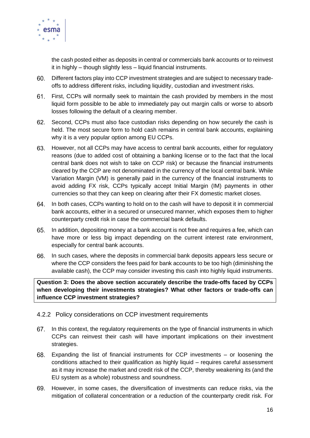

the cash posted either as deposits in central or commercials bank accounts or to reinvest it in highly – though slightly less – liquid financial instruments.

- Different factors play into CCP investment strategies and are subject to necessary tradeoffs to address different risks, including liquidity, custodian and investment risks.
- First, CCPs will normally seek to maintain the cash provided by members in the most liquid form possible to be able to immediately pay out margin calls or worse to absorb losses following the default of a clearing member.
- 62. Second, CCPs must also face custodian risks depending on how securely the cash is held. The most secure form to hold cash remains in central bank accounts, explaining why it is a very popular option among EU CCPs.
- However, not all CCPs may have access to central bank accounts, either for regulatory reasons (due to added cost of obtaining a banking license or to the fact that the local central bank does not wish to take on CCP risk) or because the financial instruments cleared by the CCP are not denominated in the currency of the local central bank. While Variation Margin (VM) is generally paid in the currency of the financial instruments to avoid adding FX risk, CCPs typically accept Initial Margin (IM) payments in other currencies so that they can keep on clearing after their FX domestic market closes.
- 64. In both cases, CCPs wanting to hold on to the cash will have to deposit it in commercial bank accounts, either in a secured or unsecured manner, which exposes them to higher counterparty credit risk in case the commercial bank defaults.
- 65. In addition, depositing money at a bank account is not free and requires a fee, which can have more or less big impact depending on the current interest rate environment, especially for central bank accounts.
- 66. In such cases, where the deposits in commercial bank deposits appears less secure or where the CCP considers the fees paid for bank accounts to be too high (diminishing the available cash), the CCP may consider investing this cash into highly liquid instruments.

**Question 3: Does the above section accurately describe the trade-offs faced by CCPs when developing their investments strategies? What other factors or trade-offs can influence CCP investment strategies?**

#### <span id="page-16-0"></span>4.2.2 Policy considerations on CCP investment requirements

- 67. In this context, the regulatory requirements on the type of financial instruments in which CCPs can reinvest their cash will have important implications on their investment strategies.
- Expanding the list of financial instruments for CCP investments or loosening the conditions attached to their qualification as highly liquid – requires careful assessment as it may increase the market and credit risk of the CCP, thereby weakening its (and the EU system as a whole) robustness and soundness.
- However, in some cases, the diversification of investments can reduce risks, via the mitigation of collateral concentration or a reduction of the counterparty credit risk. For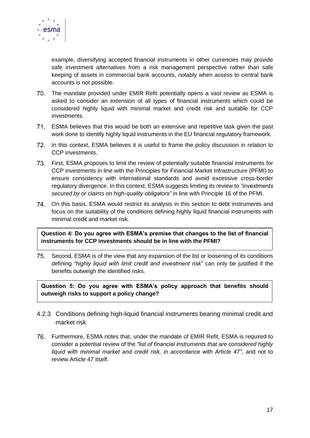

example, diversifying accepted financial instruments in other currencies may provide safe investment alternatives from a risk management perspective rather than safe keeping of assets in commercial bank accounts, notably when access to central bank accounts is not possible.

- The mandate provided under EMIR Refit potentially opens a vast review as ESMA is asked to consider an extension of all types of financial instruments which could be considered highly liquid with minimal market and credit risk and suitable for CCP investments.
- ESMA believes that this would be both an extensive and repetitive task given the past work done to identify highly liquid instruments in the EU financial regulatory framework.
- 72. In this context, ESMA believes it is useful to frame the policy discussion in relation to CCP investments.
- First, ESMA proposes to limit the review of potentially suitable financial instruments for CCP investments in line with the Principles for Financial Market Infrastructure (PFMI) to ensure consistency with international standards and avoid excessive cross-border regulatory divergence. In this context, ESMA suggests limiting its review to *"investments secured by or claims on high-quality obligators"* in line with Principle 16 of the PFMI.
- On this basis, ESMA would restrict its analysis in this section to debt instruments and focus on the suitability of the conditions defining highly liquid financial instruments with minimal credit and market risk.

**Question 4: Do you agree with ESMA's premise that changes to the list of financial instruments for CCP investments should be in line with the PFMI?**

75. Second, ESMA is of the view that any expansion of the list or loosening of its conditions defining *"highly liquid with limit credit and investment risk"* can only be justified if the benefits outweigh the identified risks.

**Question 5: Do you agree with ESMA's policy approach that benefits should outweigh risks to support a policy change?**

- <span id="page-17-0"></span>4.2.3 Conditions defining high-liquid financial instruments bearing minimal credit and market risk
- Furthermore, ESMA notes that, under the mandate of EMIR Refit, ESMA is required to consider a potential review of the *"list of financial instruments that are considered highly liquid with minimal market and credit risk, in accordance with Article 47"*, and not to review Article 47 itself.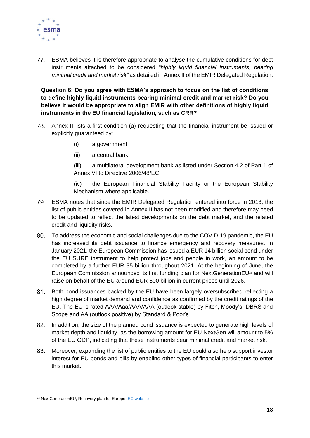

ESMA believes it is therefore appropriate to analyse the cumulative conditions for debt instruments attached to be considered *"highly liquid financial instruments, bearing minimal credit and market risk"* as detailed in Annex II of the EMIR Delegated Regulation.

**Question 6: Do you agree with ESMA's approach to focus on the list of conditions to define highly liquid instruments bearing minimal credit and market risk? Do you believe it would be appropriate to align EMIR with other definitions of highly liquid instruments in the EU financial legislation, such as CRR?** 

- 78. Annex II lists a first condition (a) requesting that the financial instrument be issued or explicitly guaranteed by:
	- (i) a government;
	- (ii) a central bank;

(iii) a multilateral development bank as listed under Section 4.2 of Part 1 of Annex VI to Directive 2006/48/EC;

(iv) the European Financial Stability Facility or the European Stability Mechanism where applicable.

- ESMA notes that since the EMIR Delegated Regulation entered into force in 2013, the list of public entities covered in Annex II has not been modified and therefore may need to be updated to reflect the latest developments on the debt market, and the related credit and liquidity risks.
- To address the economic and social challenges due to the COVID-19 pandemic, the EU has increased its debt issuance to finance emergency and recovery measures. In January 2021, the European Commission has issued a EUR 14 billion social bond under the EU SURE instrument to help protect jobs and people in work, an amount to be completed by a further EUR 35 billion throughout 2021. At the beginning of June, the European Commission announced its first funding plan for NextGenerationEU<sup>23</sup> and will raise on behalf of the EU around EUR 800 billion in current prices until 2026.
- 81. Both bond issuances backed by the EU have been largely oversubscribed reflecting a high degree of market demand and confidence as confirmed by the credit ratings of the EU. The EU is rated AAA/Aaa/AAA/AAA (outlook stable) by Fitch, Moody's, DBRS and Scope and AA (outlook positive) by Standard & Poor's.
- 82. In addition, the size of the planned bond issuance is expected to generate high levels of market depth and liquidity, as the borrowing amount for EU NextGen will amount to 5% of the EU GDP, indicating that these instruments bear minimal credit and market risk.
- 83. Moreover, expanding the list of public entities to the EU could also help support investor interest for EU bonds and bills by enabling other types of financial participants to enter this market.

<sup>23</sup> NextGenerationEU, Recovery plan for Europe[, EC website](https://ec.europa.eu/info/strategy/recovery-plan-europe_en)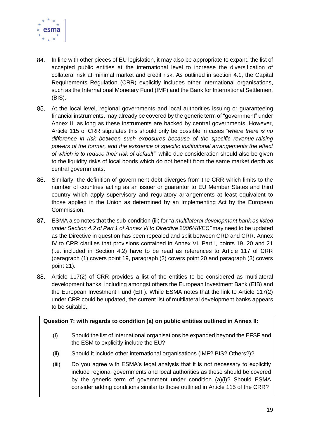

- 84. In line with other pieces of EU legislation, it may also be appropriate to expand the list of accepted public entities at the international level to increase the diversification of collateral risk at minimal market and credit risk. As outlined in section 4.1, the Capital Requirements Regulation (CRR) explicitly includes other international organisations, such as the International Monetary Fund (IMF) and the Bank for International Settlement (BIS).
- At the local level, regional governments and local authorities issuing or guaranteeing financial instruments, may already be covered by the generic term of "government" under Annex II, as long as these instruments are backed by central governments. However, Article 115 of CRR stipulates this should only be possible in cases *"where there is no difference in risk between such exposures because of the specific revenue-raising powers of the former, and the existence of specific institutional arrangements the effect of which is to reduce their risk of default"*, while due consideration should also be given to the liquidity risks of local bonds which do not benefit from the same market depth as central governments.
- Similarly, the definition of government debt diverges from the CRR which limits to the 86. number of countries acting as an issuer or guarantor to EU Member States and third country which apply supervisory and regulatory arrangements at least equivalent to those applied in the Union as determined by an Implementing Act by the European Commission.
- ESMA also notes that the sub-condition (iii) for *"a multilateral development bank as listed under Section 4.2 of Part 1 of Annex VI to Directive 2006/48/EC"* may need to be updated as the Directive in question has been repealed and split between CRD and CRR. Annex IV to CRR clarifies that provisions contained in Annex VI, Part I, points 19, 20 and 21 (i.e. included in Section 4.2) have to be read as references to Article 117 of CRR (paragraph (1) covers point 19, paragraph (2) covers point 20 and paragraph (3) covers point 21).
- Article 117(2) of CRR provides a list of the entities to be considered as multilateral development banks, including amongst others the European Investment Bank (EIB) and the European Investment Fund (EIF). While ESMA notes that the link to Article 117(2) under CRR could be updated, the current list of multilateral development banks appears to be suitable.

#### **Question 7: with regards to condition (a) on public entities outlined in Annex II:**

- (i) Should the list of international organisations be expanded beyond the EFSF and the ESM to explicitly include the EU?
- (ii) Should it include other international organisations (IMF? BIS? Others?)?
- (iii) Do you agree with ESMA's legal analysis that it is not necessary to explicitly include regional governments and local authorities as these should be covered by the generic term of government under condition (a)(i)? Should ESMA consider adding conditions similar to those outlined in Article 115 of the CRR?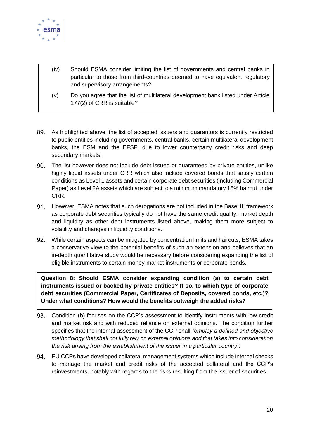

- (iv) Should ESMA consider limiting the list of governments and central banks in particular to those from third-countries deemed to have equivalent regulatory and supervisory arrangements?
- (v) Do you agree that the list of multilateral development bank listed under Article 177(2) of CRR is suitable?
- As highlighted above, the list of accepted issuers and guarantors is currently restricted to public entities including governments, central banks, certain multilateral development banks, the ESM and the EFSF, due to lower counterparty credit risks and deep secondary markets.
- 90. The list however does not include debt issued or guaranteed by private entities, unlike highly liquid assets under CRR which also include covered bonds that satisfy certain conditions as Level 1 assets and certain corporate debt securities (including Commercial Paper) as Level 2A assets which are subject to a minimum mandatory 15% haircut under CRR.
- 91. However, ESMA notes that such derogations are not included in the Basel III framework as corporate debt securities typically do not have the same credit quality, market depth and liquidity as other debt instruments listed above, making them more subject to volatility and changes in liquidity conditions.
- While certain aspects can be mitigated by concentration limits and haircuts, ESMA takes 92. a conservative view to the potential benefits of such an extension and believes that an in-depth quantitative study would be necessary before considering expanding the list of eligible instruments to certain money-market instruments or corporate bonds.

**Question 8: Should ESMA consider expanding condition (a) to certain debt instruments issued or backed by private entities? If so, to which type of corporate debt securities (Commercial Paper, Certificates of Deposits, covered bonds, etc.)? Under what conditions? How would the benefits outweigh the added risks?** 

- 93. Condition (b) focuses on the CCP's assessment to identify instruments with low credit and market risk and with reduced reliance on external opinions. The condition further specifies that the internal assessment of the CCP shall *"employ a defined and objective methodology that shall not fully rely on external opinions and that takes into consideration the risk arising from the establishment of the issuer in a particular country".*
- 94. EU CCPs have developed collateral management systems which include internal checks to manage the market and credit risks of the accepted collateral and the CCP's reinvestments, notably with regards to the risks resulting from the issuer of securities.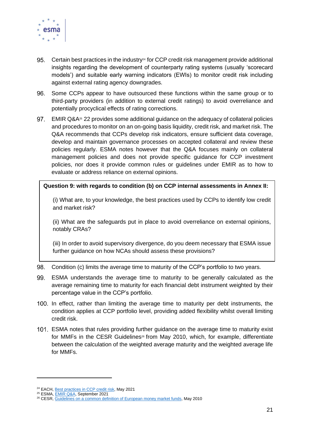

- 95. Certain best practices in the industry<sup>24</sup> for CCP credit risk management provide additional insights regarding the development of counterparty rating systems (usually 'scorecard models') and suitable early warning indicators (EWIs) to monitor credit risk including against external rating agency downgrades.
- 96. Some CCPs appear to have outsourced these functions within the same group or to third-party providers (in addition to external credit ratings) to avoid overreliance and potentially procyclical effects of rating corrections.
- 97. EMIR Q&A<sup>25</sup> 22 provides some additional quidance on the adequacy of collateral policies and procedures to monitor on an on-going basis liquidity, credit risk, and market risk. The Q&A recommends that CCPs develop risk indicators, ensure sufficient data coverage, develop and maintain governance processes on accepted collateral and review these policies regularly. ESMA notes however that the Q&A focuses mainly on collateral management policies and does not provide specific guidance for CCP investment policies, nor does it provide common rules or guidelines under EMIR as to how to evaluate or address reliance on external opinions.

**Question 9: with regards to condition (b) on CCP internal assessments in Annex II:**

(i) What are, to your knowledge, the best practices used by CCPs to identify low credit and market risk?

(ii) What are the safeguards put in place to avoid overreliance on external opinions, notably CRAs?

(iii) In order to avoid supervisory divergence, do you deem necessary that ESMA issue further guidance on how NCAs should assess these provisions?

Condition (c) limits the average time to maturity of the CCP's portfolio to two years. 98.

- 99. ESMA understands the average time to maturity to be generally calculated as the average remaining time to maturity for each financial debt instrument weighted by their percentage value in the CCP's portfolio.
- 100. In effect, rather than limiting the average time to maturity per debt instruments, the condition applies at CCP portfolio level, providing added flexibility whilst overall limiting credit risk.
- 101. ESMA notes that rules providing further guidance on the average time to maturity exist for MMFs in the CESR Guidelines<sup>26</sup> from May 2010, which, for example, differentiate between the calculation of the weighted average maturity and the weighted average life for MMFs.

<sup>&</sup>lt;sup>24</sup> EACH, **Best practices in CCP credit risk**, May 2021

<sup>&</sup>lt;sup>25</sup> ESMA, **EMIR Q&A**, September 2021

<sup>&</sup>lt;sup>26</sup> CESR[, Guidelines on a common definition of European money market funds,](https://www.esma.europa.eu/sites/default/files/library/2015/11/10-049_cesr_guidelines_mmfs_with_disclaimer.pdf) May 2010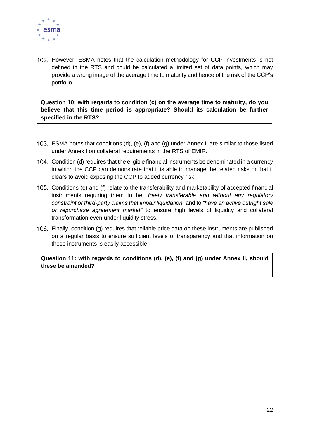

102. However, ESMA notes that the calculation methodology for CCP investments is not defined in the RTS and could be calculated a limited set of data points, which may provide a wrong image of the average time to maturity and hence of the risk of the CCP's portfolio.

**Question 10: with regards to condition (c) on the average time to maturity, do you believe that this time period is appropriate? Should its calculation be further specified in the RTS?** 

- ESMA notes that conditions (d), (e), (f) and (g) under Annex II are similar to those listed under Annex I on collateral requirements in the RTS of EMIR.
- 104. Condition (d) requires that the eligible financial instruments be denominated in a currency in which the CCP can demonstrate that it is able to manage the related risks or that it clears to avoid exposing the CCP to added currency risk.
- Conditions (e) and (f) relate to the transferability and marketability of accepted financial instruments requiring them to be *"freely transferable and without any regulatory constraint or third-party claims that impair liquidation"* and to *"have an active outright sale or repurchase agreement market"* to ensure high levels of liquidity and collateral transformation even under liquidity stress.
- 106. Finally, condition (g) requires that reliable price data on these instruments are published on a regular basis to ensure sufficient levels of transparency and that information on these instruments is easily accessible.

**Question 11: with regards to conditions (d), (e), (f) and (g) under Annex II, should these be amended?**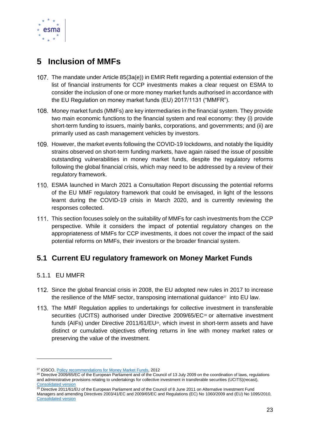

# <span id="page-23-0"></span>**5 Inclusion of MMFs**

- The mandate under Article 85(3a(e)) in EMIR Refit regarding a potential extension of the list of financial instruments for CCP investments makes a clear request on ESMA to consider the inclusion of one or more money market funds authorised in accordance with the EU Regulation on money market funds (EU) 2017/1131 ("MMFR").
- 108. Money market funds (MMFs) are key intermediaries in the financial system. They provide two main economic functions to the financial system and real economy: they (i) provide short-term funding to issuers, mainly banks, corporations, and governments; and (ii) are primarily used as cash management vehicles by investors.
- However, the market events following the COVID-19 lockdowns, and notably the liquidity strains observed on short-term funding markets, have again raised the issue of possible outstanding vulnerabilities in money market funds, despite the regulatory reforms following the global financial crisis, which may need to be addressed by a review of their regulatory framework.
- ESMA launched in March 2021 a Consultation Report discussing the potential reforms of the EU MMF regulatory framework that could be envisaged, in light of the lessons learnt during the COVID-19 crisis in March 2020, and is currently reviewing the responses collected.
- 111. This section focuses solely on the suitability of MMFs for cash investments from the CCP perspective. While it considers the impact of potential regulatory changes on the appropriateness of MMFs for CCP investments, it does not cover the impact of the said potential reforms on MMFs, their investors or the broader financial system.

### <span id="page-23-1"></span>**5.1 Current EU regulatory framework on Money Market Funds**

#### <span id="page-23-2"></span>5.1.1 EU MMFR

- 112. Since the global financial crisis in 2008, the EU adopted new rules in 2017 to increase the resilience of the MMF sector, transposing international guidance $^{27}$  into EU law.
- The MMF Regulation applies to undertakings for collective investment in transferable securities (UCITS) authorised under Directive 2009/65/EC<sup>28</sup> or alternative investment funds (AIFs) under Directive 2011/61/EU<sup>29</sup>, which invest in short-term assets and have distinct or cumulative objectives offering returns in line with money market rates or preserving the value of the investment.

<sup>&</sup>lt;sup>27</sup> IOSCO, [Policy recommendations for Money Market Funds,](https://www.iosco.org/library/pubdocs/pdf/IOSCOPD392.pdf) 2012

<sup>&</sup>lt;sup>28</sup> Directive 2009/65/EC of the European Parliament and of the Council of 13 July 2009 on the coordination of laws, regulations and administrative provisions relating to undertakings for collective investment in transferable securities (UCITS)(recast), [Consolidated version](https://eur-lex.europa.eu/legal-content/EN/TXT/?uri=CELEX:02009L0065-20140917)

 $29$  Directive 2011/61/EU of the European Parliament and of the Council of 8 June 2011 on Alternative Investment Fund Managers and amending Directives 2003/41/EC and 2009/65/EC and Regulations (EC) No 1060/2009 and (EU) No 1095/2010, [Consolidated version](https://eur-lex.europa.eu/legal-content/EN/TXT/?uri=CELEX%3A02011L0061-20210802)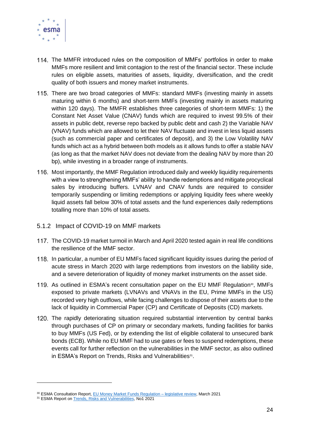

- The MMFR introduced rules on the composition of MMFs' portfolios in order to make MMFs more resilient and limit contagion to the rest of the financial sector. These include rules on eligible assets, maturities of assets, liquidity, diversification, and the credit quality of both issuers and money market instruments.
- 115. There are two broad categories of MMFs: standard MMFs (investing mainly in assets maturing within 6 months) and short-term MMFs (investing mainly in assets maturing within 120 days). The MMFR establishes three categories of short-term MMFs: 1) the Constant Net Asset Value (CNAV) funds which are required to invest 99.5% of their assets in public debt, reverse repo backed by public debt and cash 2) the Variable NAV (VNAV) funds which are allowed to let their NAV fluctuate and invest in less liquid assets (such as commercial paper and certificates of deposit), and 3) the Low Volatility NAV funds which act as a hybrid between both models as it allows funds to offer a stable NAV (as long as that the market NAV does not deviate from the dealing NAV by more than 20 bp), while investing in a broader range of instruments.
- 116. Most importantly, the MMF Regulation introduced daily and weekly liquidity requirements with a view to strengthening MMFs' ability to handle redemptions and mitigate procyclical sales by introducing buffers. LVNAV and CNAV funds are required to consider temporarily suspending or limiting redemptions or applying liquidity fees where weekly liquid assets fall below 30% of total assets and the fund experiences daily redemptions totalling more than 10% of total assets.
- <span id="page-24-0"></span>5.1.2 Impact of COVID-19 on MMF markets
- 117. The COVID-19 market turmoil in March and April 2020 tested again in real life conditions the resilience of the MMF sector.
- 118. In particular, a number of EU MMFs faced significant liquidity issues during the period of acute stress in March 2020 with large redemptions from investors on the liability side, and a severe deterioration of liquidity of money market instruments on the asset side.
- As outlined in ESMA's recent consultation paper on the EU MMF Regulation<sup>30</sup>, MMFs exposed to private markets (LVNAVs and VNAVs in the EU, Prime MMFs in the US) recorded very high outflows, while facing challenges to dispose of their assets due to the lack of liquidity in Commercial Paper (CP) and Certificate of Deposits (CD) markets.
- 120. The rapidly deteriorating situation required substantial intervention by central banks through purchases of CP on primary or secondary markets, funding facilities for banks to buy MMFs (US Fed), or by extending the list of eligible collateral to unsecured bank bonds (ECB). While no EU MMF had to use gates or fees to suspend redemptions, these events call for further reflection on the vulnerabilities in the MMF sector, as also outlined in ESMA's Report on Trends, Risks and Vulnerabilities<sup>31</sup>.

<sup>&</sup>lt;sup>30</sup> ESMA Consultation Report[, EU Money Market Funds Regulation –](https://www.esma.europa.eu/sites/default/files/library/esma34-49-309_cp_mmf_reform.pdf) legislative review, March 2021

<sup>&</sup>lt;sup>31</sup> ESMA Report on [Trends, Risks and Vulnerabilities,](https://www.esma.europa.eu/sites/default/files/library/esma50-165-1524_trv_1_2021.pdf) No1 2021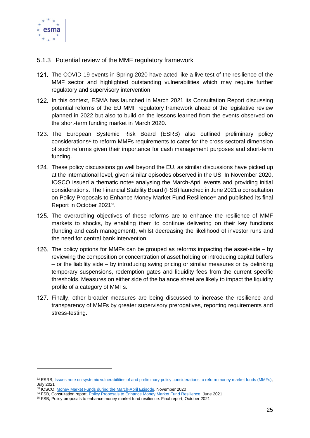

- <span id="page-25-0"></span>5.1.3 Potential review of the MMF regulatory framework
- The COVID-19 events in Spring 2020 have acted like a live test of the resilience of the MMF sector and highlighted outstanding vulnerabilities which may require further regulatory and supervisory intervention.
- 122. In this context, ESMA has launched in March 2021 its Consultation Report discussing potential reforms of the EU MMF regulatory framework ahead of the legislative review planned in 2022 but also to build on the lessons learned from the events observed on the short-term funding market in March 2020.
- 123. The European Systemic Risk Board (ESRB) also outlined preliminary policy considerations<sup>32</sup> to reform MMFs requirements to cater for the cross-sectoral dimension of such reforms given their importance for cash management purposes and short-term funding.
- 124. These policy discussions go well beyond the EU, as similar discussions have picked up at the international level, given similar episodes observed in the US. In November 2020,  $IOSCO$  issued a thematic note $33$  analysing the March-April events and providing initial considerations. The Financial Stability Board (FSB) launched in June 2021 a consultation on Policy Proposals to Enhance Money Market Fund Resilience<sup>34</sup> and published its final Report in October 2021<sup>35</sup>.
- 125. The overarching objectives of these reforms are to enhance the resilience of MMF markets to shocks, by enabling them to continue delivering on their key functions (funding and cash management), whilst decreasing the likelihood of investor runs and the need for central bank intervention.
- 126. The policy options for MMFs can be grouped as reforms impacting the asset-side  $-$  by reviewing the composition or concentration of asset holding or introducing capital buffers – or the liability side – by introducing swing pricing or similar measures or by delinking temporary suspensions, redemption gates and liquidity fees from the current specific thresholds. Measures on either side of the balance sheet are likely to impact the liquidity profile of a category of MMFs.
- Finally, other broader measures are being discussed to increase the resilience and transparency of MMFs by greater supervisory prerogatives, reporting requirements and stress-testing.

<sup>32</sup> ESRB, [Issues note on systemic vulnerabilities of and preliminary policy considerations to reform money market funds \(MMFs\),](https://www.esrb.europa.eu/pub/pdf/reports/esrb.report.210701_Issues_note_on_systemic_vulnerabilities~db0345a618.en.pdf) July 2021

<sup>&</sup>lt;sup>33</sup> IOSCO, [Money Market Funds during the March-April Episode,](https://www.iosco.org/library/pubdocs/pdf/IOSCOPD666.pdf) November 2020

<sup>34</sup> FSB, Consultation report[, Policy Proposals to Enhance Money Market Fund Resilience,](https://www.fsb.org/wp-content/uploads/P300621.pdf) June 2021

<sup>&</sup>lt;sup>35</sup> FSB, Policy proposals to enhance money market fund resilience: Final report, October 2021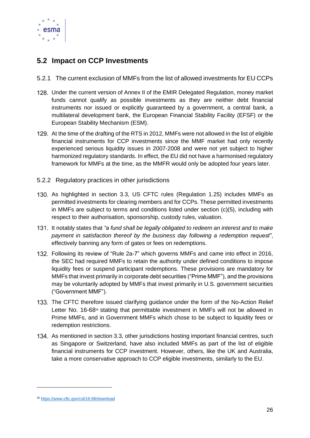

### <span id="page-26-0"></span>**5.2 Impact on CCP Investments**

- <span id="page-26-1"></span>5.2.1 The current exclusion of MMFs from the list of allowed investments for EU CCPs
- 128. Under the current version of Annex II of the EMIR Delegated Regulation, money market funds cannot qualify as possible investments as they are neither debt financial instruments nor issued or explicitly guaranteed by a government, a central bank, a multilateral development bank, the European Financial Stability Facility (EFSF) or the European Stability Mechanism (ESM).
- 129. At the time of the drafting of the RTS in 2012, MMFs were not allowed in the list of eligible financial instruments for CCP investments since the MMF market had only recently experienced serious liquidity issues in 2007-2008 and were not yet subject to higher harmonized regulatory standards. In effect, the EU did not have a harmonised regulatory framework for MMFs at the time, as the MMFR would only be adopted four years later.
- <span id="page-26-2"></span>5.2.2 Regulatory practices in other jurisdictions
- 130. As highlighted in section 3.3, US CFTC rules (Regulation 1.25) includes MMFs as permitted investments for clearing members and for CCPs. These permitted investments in MMFs are subject to terms and conditions listed under section (c)(5), including with respect to their authorisation, sponsorship, custody rules, valuation.
- 131. It notably states that "a fund shall be legally obligated to redeem an interest and to make *payment in satisfaction thereof by the business day following a redemption request"*, effectively banning any form of gates or fees on redemptions.
- Following its review of "Rule 2a-7" which governs MMFs and came into effect in 2016, the SEC had required MMFs to retain the authority under defined conditions to impose liquidity fees or suspend participant redemptions. These provisions are mandatory for MMFs that invest primarily in corporate debt securities ("Prime MMF"), and the provisions may be voluntarily adopted by MMFs that invest primarily in U.S. government securities ("Government MMF").
- 133. The CFTC therefore issued clarifying guidance under the form of the No-Action Relief Letter No. 16-68<sup>36</sup> stating that permittable investment in MMFs will not be allowed in Prime MMFs, and in Government MMFs which chose to be subject to liquidity fees or redemption restrictions.
- 134. As mentioned in section 3.3, other jurisdictions hosting important financial centres, such as Singapore or Switzerland, have also included MMFs as part of the list of eligible financial instruments for CCP investment. However, others, like the UK and Australia, take a more conservative approach to CCP eligible investments, similarly to the EU.

<sup>36</sup> <https://www.cftc.gov/csl/16-68/download>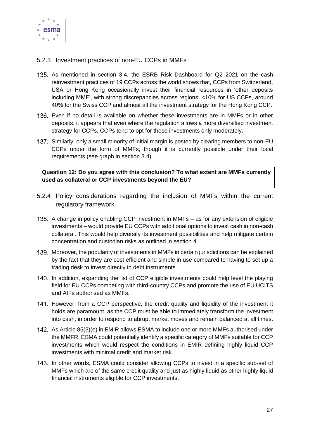

#### <span id="page-27-0"></span>5.2.3 Investment practices of non-EU CCPs in MMFs

- 135. As mentioned in section 3.4, the ESRB Risk Dashboard for Q2 2021 on the cash reinvestment practices of 19 CCPs across the world shows that, CCPs from Switzerland, USA or Hong Kong occasionally invest their financial resources in 'other deposits including MMF', with strong discrepancies across regions: <10% for US CCPs, around 40% for the Swiss CCP and almost all the investment strategy for the Hong Kong CCP.
- Even if no detail is available on whether these investments are in MMFs or in other deposits, it appears that even where the regulation allows a more diversified investment strategy for CCPs, CCPs tend to opt for these investments only moderately.
- 137. Similarly, only a small minority of initial margin is posted by clearing members to non-EU CCPs under the form of MMFs, though it is currently possible under their local requirements (see graph in section 3.4).

**Question 12: Do you agree with this conclusion? To what extent are MMFs currently used as collateral or CCP investments beyond the EU?**

- <span id="page-27-1"></span>5.2.4 Policy considerations regarding the inclusion of MMFs within the current regulatory framework
- 138. A change in policy enabling CCP investment in MMFs as for any extension of eligible investments – would provide EU CCPs with additional options to invest cash in non-cash collateral. This would help diversify its investment possibilities and help mitigate certain concentration and custodian risks as outlined in section 4.
- Moreover, the popularity of investments in MMFs in certain jurisdictions can be explained by the fact that they are cost efficient and simple in use compared to having to set up a trading desk to invest directly in debt instruments.
- 140. In addition, expanding the list of CCP eligible investments could help level the playing field for EU CCPs competing with third-country CCPs and promote the use of EU UCITS and AIFs authorised as MMFs.
- 141. However, from a CCP perspective, the credit quality and liquidity of the investment it holds are paramount, as the CCP must be able to immediately transform the investment into cash, in order to respond to abrupt market moves and remain balanced at all times.
- 142. As Article 85(3)(e) in EMIR allows ESMA to include one or more MMFs authorised under the MMFR, ESMA could potentially identify a specific category of MMFs suitable for CCP investments which would respect the conditions in EMIR defining highly liquid CCP investments with minimal credit and market risk.
- 143. In other words, ESMA could consider allowing CCPs to invest in a specific sub-set of MMFs which are of the same credit quality and just as highly liquid as other highly liquid financial instruments eligible for CCP investments.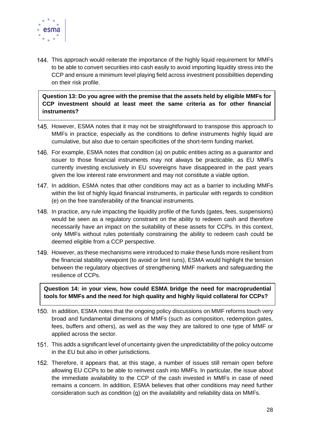

144. This approach would reiterate the importance of the highly liquid requirement for MMFs to be able to convert securities into cash easily to avoid importing liquidity stress into the CCP and ensure a minimum level playing field across investment possibilities depending on their risk profile.

**Question 13: Do you agree with the premise that the assets held by eligible MMFs for CCP investment should at least meet the same criteria as for other financial instruments?**

- 145. However, ESMA notes that it may not be straightforward to transpose this approach to MMFs in practice, especially as the conditions to define instruments highly liquid are cumulative, but also due to certain specificities of the short-term funding market.
- 146. For example, ESMA notes that condition (a) on public entities acting as a quarantor and issuer to those financial instruments may not always be practicable, as EU MMFs currently investing exclusively in EU sovereigns have disappeared in the past years given the low interest rate environment and may not constitute a viable option.
- 147. In addition, ESMA notes that other conditions may act as a barrier to including MMFs within the list of highly liquid financial instruments, in particular with regards to condition (e) on the free transferability of the financial instruments.
- 148. In practice, any rule impacting the liquidity profile of the funds (gates, fees, suspensions) would be seen as a regulatory constraint on the ability to redeem cash and therefore necessarily have an impact on the suitability of these assets for CCPs. In this context, only MMFs without rules potentially constraining the ability to redeem cash could be deemed eligible from a CCP perspective.
- 149. However, as these mechanisms were introduced to make these funds more resilient from the financial stability viewpoint (to avoid or limit runs), ESMA would highlight the tension between the regulatory objectives of strengthening MMF markets and safeguarding the resilience of CCPs.

**Question 14: in your view, how could ESMA bridge the need for macroprudential tools for MMFs and the need for high quality and highly liquid collateral for CCPs?**

- 150. In addition, ESMA notes that the ongoing policy discussions on MMF reforms touch very broad and fundamental dimensions of MMFs (such as composition, redemption gates, fees, buffers and others), as well as the way they are tailored to one type of MMF or applied across the sector.
- This adds a significant level of uncertainty given the unpredictability of the policy outcome in the EU but also in other jurisdictions.
- Therefore, it appears that, at this stage, a number of issues still remain open before allowing EU CCPs to be able to reinvest cash into MMFs. In particular, the issue about the immediate availability to the CCP of the cash invested in MMFs in case of need remains a concern. In addition, ESMA believes that other conditions may need further consideration such as condition (g) on the availability and reliability data on MMFs.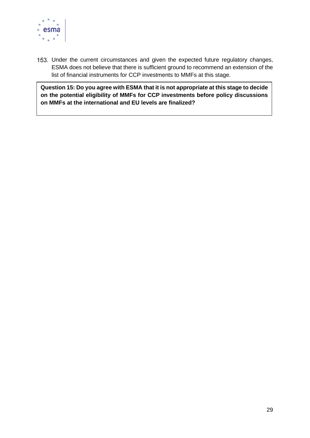

153. Under the current circumstances and given the expected future regulatory changes, ESMA does not believe that there is sufficient ground to recommend an extension of the list of financial instruments for CCP investments to MMFs at this stage.

**Question 15: Do you agree with ESMA that it is not appropriate at this stage to decide on the potential eligibility of MMFs for CCP investments before policy discussions on MMFs at the international and EU levels are finalized?**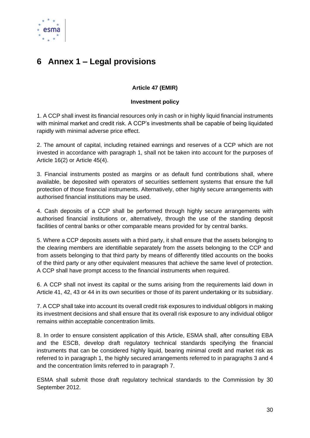

# <span id="page-30-0"></span>**6 Annex 1 – Legal provisions**

#### **Article 47 (EMIR)**

#### **Investment policy**

1. A CCP shall invest its financial resources only in cash or in highly liquid financial instruments with minimal market and credit risk. A CCP's investments shall be capable of being liquidated rapidly with minimal adverse price effect.

2. The amount of capital, including retained earnings and reserves of a CCP which are not invested in accordance with paragraph 1, shall not be taken into account for the purposes of Article 16(2) or Article 45(4).

3. Financial instruments posted as margins or as default fund contributions shall, where available, be deposited with operators of securities settlement systems that ensure the full protection of those financial instruments. Alternatively, other highly secure arrangements with authorised financial institutions may be used.

4. Cash deposits of a CCP shall be performed through highly secure arrangements with authorised financial institutions or, alternatively, through the use of the standing deposit facilities of central banks or other comparable means provided for by central banks.

5. Where a CCP deposits assets with a third party, it shall ensure that the assets belonging to the clearing members are identifiable separately from the assets belonging to the CCP and from assets belonging to that third party by means of differently titled accounts on the books of the third party or any other equivalent measures that achieve the same level of protection. A CCP shall have prompt access to the financial instruments when required.

6. A CCP shall not invest its capital or the sums arising from the requirements laid down in Article 41, 42, 43 or 44 in its own securities or those of its parent undertaking or its subsidiary.

7. A CCP shall take into account its overall credit risk exposures to individual obligors in making its investment decisions and shall ensure that its overall risk exposure to any individual obligor remains within acceptable concentration limits.

8. In order to ensure consistent application of this Article, ESMA shall, after consulting EBA and the ESCB, develop draft regulatory technical standards specifying the financial instruments that can be considered highly liquid, bearing minimal credit and market risk as referred to in paragraph 1, the highly secured arrangements referred to in paragraphs 3 and 4 and the concentration limits referred to in paragraph 7.

ESMA shall submit those draft regulatory technical standards to the Commission by 30 September 2012.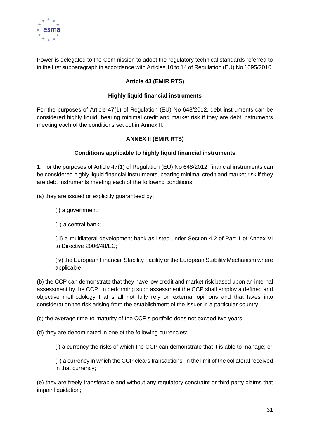

Power is delegated to the Commission to adopt the regulatory technical standards referred to in the first subparagraph in accordance with Articles 10 to 14 of Regulation (EU) No 1095/2010.

#### **Article 43 (EMIR RTS)**

#### **Highly liquid financial instruments**

For the purposes of Article 47(1) of Regulation (EU) No 648/2012, debt instruments can be considered highly liquid, bearing minimal credit and market risk if they are debt instruments meeting each of the conditions set out in Annex II.

#### **ANNEX II (EMIR RTS)**

#### **Conditions applicable to highly liquid financial instruments**

1. For the purposes of Article 47(1) of Regulation (EU) No 648/2012, financial instruments can be considered highly liquid financial instruments, bearing minimal credit and market risk if they are debt instruments meeting each of the following conditions:

(a) they are issued or explicitly guaranteed by:

- (i) a government;
- (ii) a central bank;

(iii) a multilateral development bank as listed under Section 4.2 of Part 1 of Annex VI to Directive 2006/48/EC;

(iv) the European Financial Stability Facility or the European Stability Mechanism where applicable;

(b) the CCP can demonstrate that they have low credit and market risk based upon an internal assessment by the CCP. In performing such assessment the CCP shall employ a defined and objective methodology that shall not fully rely on external opinions and that takes into consideration the risk arising from the establishment of the issuer in a particular country;

(c) the average time-to-maturity of the CCP's portfolio does not exceed two years;

(d) they are denominated in one of the following currencies:

(i) a currency the risks of which the CCP can demonstrate that it is able to manage; or

(ii) a currency in which the CCP clears transactions, in the limit of the collateral received in that currency;

(e) they are freely transferable and without any regulatory constraint or third party claims that impair liquidation;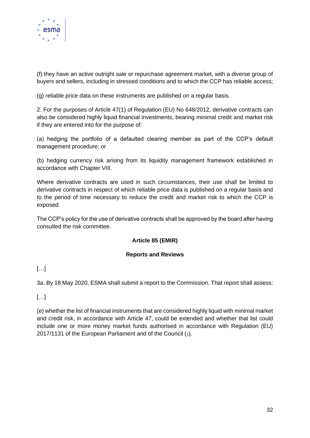

(f) they have an active outright sale or repurchase agreement market, with a diverse group of buyers and sellers, including in stressed conditions and to which the CCP has reliable access;

(g) reliable price data on these instruments are published on a regular basis.

2. For the purposes of Article 47(1) of Regulation (EU) No 648/2012, derivative contracts can also be considered highly liquid financial investments, bearing minimal credit and market risk if they are entered into for the purpose of:

(a) hedging the portfolio of a defaulted clearing member as part of the CCP's default management procedure; or

(b) hedging currency risk arising from its liquidity management framework established in accordance with Chapter VIII.

Where derivative contracts are used in such circumstances, their use shall be limited to derivative contracts in respect of which reliable price data is published on a regular basis and to the period of time necessary to reduce the credit and market risk to which the CCP is exposed.

The CCP's policy for the use of derivative contracts shall be approved by the board after having consulted the risk committee.

#### **Article 85 (EMIR)**

#### **Reports and Reviews**

#### $[...]$

3a. By 18 May 2020, ESMA shall submit a report to the Commission. That report shall assess:

#### $[\ldots]$

(e) whether the list of financial instruments that are considered highly liquid with minimal market and credit risk, in accordance with Article 47, could be extended and whether that list could include one or more money market funds authorised in accordance with Regulation (EU) 2017/1131 of the European Parliament and of the Council (1).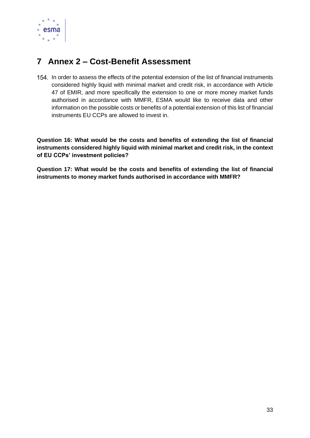

# <span id="page-33-0"></span>**7 Annex 2 – Cost-Benefit Assessment**

154. In order to assess the effects of the potential extension of the list of financial instruments considered highly liquid with minimal market and credit risk, in accordance with Article 47 of EMIR, and more specifically the extension to one or more money market funds authorised in accordance with MMFR, ESMA would like to receive data and other information on the possible costs or benefits of a potential extension of this list of financial instruments EU CCPs are allowed to invest in.

**Question 16: What would be the costs and benefits of extending the list of financial instruments considered highly liquid with minimal market and credit risk, in the context of EU CCPs' investment policies?**

**Question 17: What would be the costs and benefits of extending the list of financial instruments to money market funds authorised in accordance with MMFR?**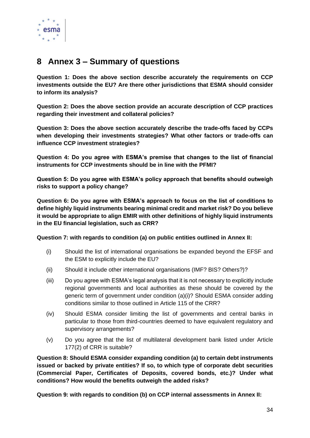

## <span id="page-34-0"></span>**8 Annex 3 – Summary of questions**

**Question 1: Does the above section describe accurately the requirements on CCP investments outside the EU? Are there other jurisdictions that ESMA should consider to inform its analysis?**

**Question 2: Does the above section provide an accurate description of CCP practices regarding their investment and collateral policies?**

**Question 3: Does the above section accurately describe the trade-offs faced by CCPs when developing their investments strategies? What other factors or trade-offs can influence CCP investment strategies?**

**Question 4: Do you agree with ESMA's premise that changes to the list of financial instruments for CCP investments should be in line with the PFMI?**

**Question 5: Do you agree with ESMA's policy approach that benefits should outweigh risks to support a policy change?**

**Question 6: Do you agree with ESMA's approach to focus on the list of conditions to define highly liquid instruments bearing minimal credit and market risk? Do you believe it would be appropriate to align EMIR with other definitions of highly liquid instruments in the EU financial legislation, such as CRR?** 

#### **Question 7: with regards to condition (a) on public entities outlined in Annex II:**

- (i) Should the list of international organisations be expanded beyond the EFSF and the ESM to explicitly include the EU?
- (ii) Should it include other international organisations (IMF? BIS? Others?)?
- (iii) Do you agree with ESMA's legal analysis that it is not necessary to explicitly include regional governments and local authorities as these should be covered by the generic term of government under condition (a)(i)? Should ESMA consider adding conditions similar to those outlined in Article 115 of the CRR?
- (iv) Should ESMA consider limiting the list of governments and central banks in particular to those from third-countries deemed to have equivalent regulatory and supervisory arrangements?
- (v) Do you agree that the list of multilateral development bank listed under Article 177(2) of CRR is suitable?

**Question 8: Should ESMA consider expanding condition (a) to certain debt instruments issued or backed by private entities? If so, to which type of corporate debt securities (Commercial Paper, Certificates of Deposits, covered bonds, etc.)? Under what conditions? How would the benefits outweigh the added risks?** 

**Question 9: with regards to condition (b) on CCP internal assessments in Annex II:**